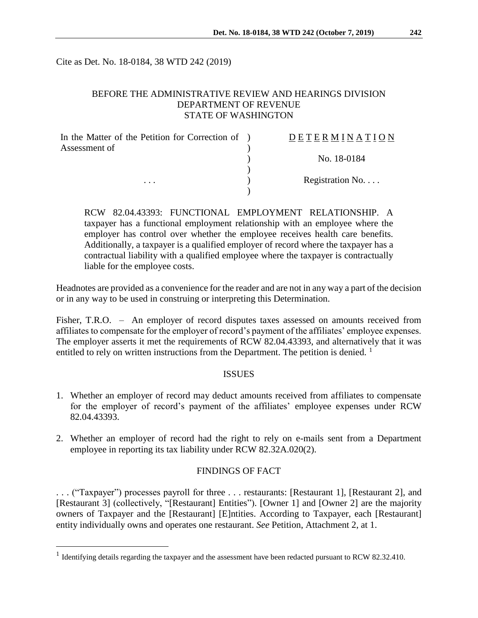Cite as Det. No. 18-0184, 38 WTD 242 (2019)

### BEFORE THE ADMINISTRATIVE REVIEW AND HEARINGS DIVISION DEPARTMENT OF REVENUE STATE OF WASHINGTON

| In the Matter of the Petition for Correction of ) | DETERMINATION   |
|---------------------------------------------------|-----------------|
| Assessment of                                     | No. 18-0184     |
|                                                   | Registration No |
| .                                                 |                 |

RCW 82.04.43393: FUNCTIONAL EMPLOYMENT RELATIONSHIP. A taxpayer has a functional employment relationship with an employee where the employer has control over whether the employee receives health care benefits. Additionally, a taxpayer is a qualified employer of record where the taxpayer has a contractual liability with a qualified employee where the taxpayer is contractually liable for the employee costs.

Headnotes are provided as a convenience for the reader and are not in any way a part of the decision or in any way to be used in construing or interpreting this Determination.

Fisher, T.R.O. – An employer of record disputes taxes assessed on amounts received from affiliates to compensate for the employer of record's payment of the affiliates' employee expenses. The employer asserts it met the requirements of RCW 82.04.43393, and alternatively that it was entitled to rely on written instructions from the Department. The petition is denied.  $<sup>1</sup>$ </sup>

#### **ISSUES**

- 1. Whether an employer of record may deduct amounts received from affiliates to compensate for the employer of record's payment of the affiliates' employee expenses under RCW 82.04.43393.
- 2. Whether an employer of record had the right to rely on e-mails sent from a Department employee in reporting its tax liability under RCW 82.32A.020(2).

### FINDINGS OF FACT

. . . ("Taxpayer") processes payroll for three . . . restaurants: [Restaurant 1], [Restaurant 2], and [Restaurant 3] (collectively, "[Restaurant] Entities"). [Owner 1] and [Owner 2] are the majority owners of Taxpayer and the [Restaurant] [E]ntities. According to Taxpayer, each [Restaurant] entity individually owns and operates one restaurant. *See* Petition, Attachment 2, at 1.

<sup>&</sup>lt;sup>1</sup> Identifying details regarding the taxpayer and the assessment have been redacted pursuant to RCW 82.32.410.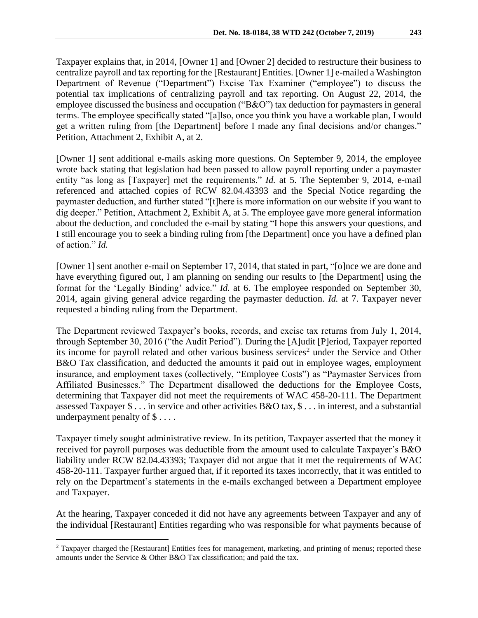Taxpayer explains that, in 2014, [Owner 1] and [Owner 2] decided to restructure their business to centralize payroll and tax reporting for the [Restaurant] Entities. [Owner 1] e-mailed a Washington Department of Revenue ("Department") Excise Tax Examiner ("employee") to discuss the potential tax implications of centralizing payroll and tax reporting. On August 22, 2014, the employee discussed the business and occupation ("B&O") tax deduction for paymasters in general terms. The employee specifically stated "[a]lso, once you think you have a workable plan, I would get a written ruling from [the Department] before I made any final decisions and/or changes." Petition, Attachment 2, Exhibit A, at 2.

[Owner 1] sent additional e-mails asking more questions. On September 9, 2014, the employee wrote back stating that legislation had been passed to allow payroll reporting under a paymaster entity "as long as [Taxpayer] met the requirements." *Id.* at 5. The September 9, 2014, e-mail referenced and attached copies of RCW 82.04.43393 and the Special Notice regarding the paymaster deduction, and further stated "[t]here is more information on our website if you want to dig deeper." Petition, Attachment 2, Exhibit A, at 5. The employee gave more general information about the deduction, and concluded the e-mail by stating "I hope this answers your questions, and I still encourage you to seek a binding ruling from [the Department] once you have a defined plan of action." *Id.*

[Owner 1] sent another e-mail on September 17, 2014, that stated in part, "[o]nce we are done and have everything figured out, I am planning on sending our results to [the Department] using the format for the 'Legally Binding' advice." *Id.* at 6. The employee responded on September 30, 2014, again giving general advice regarding the paymaster deduction. *Id.* at 7. Taxpayer never requested a binding ruling from the Department.

The Department reviewed Taxpayer's books, records, and excise tax returns from July 1, 2014, through September 30, 2016 ("the Audit Period"). During the [A]udit [P]eriod, Taxpayer reported its income for payroll related and other various business services<sup>2</sup> under the Service and Other B&O Tax classification, and deducted the amounts it paid out in employee wages, employment insurance, and employment taxes (collectively, "Employee Costs") as "Paymaster Services from Affiliated Businesses." The Department disallowed the deductions for the Employee Costs, determining that Taxpayer did not meet the requirements of WAC 458-20-111. The Department assessed Taxpayer \$ . . . in service and other activities B&O tax, \$ . . . in interest, and a substantial underpayment penalty of \$ . . . .

Taxpayer timely sought administrative review. In its petition, Taxpayer asserted that the money it received for payroll purposes was deductible from the amount used to calculate Taxpayer's B&O liability under RCW 82.04.43393; Taxpayer did not argue that it met the requirements of WAC 458-20-111. Taxpayer further argued that, if it reported its taxes incorrectly, that it was entitled to rely on the Department's statements in the e-mails exchanged between a Department employee and Taxpayer.

At the hearing, Taxpayer conceded it did not have any agreements between Taxpayer and any of the individual [Restaurant] Entities regarding who was responsible for what payments because of

<sup>&</sup>lt;sup>2</sup> Taxpayer charged the [Restaurant] Entities fees for management, marketing, and printing of menus; reported these amounts under the Service & Other B&O Tax classification; and paid the tax.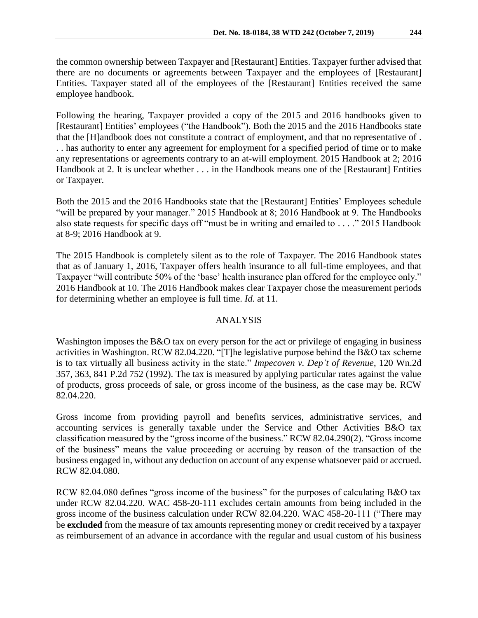the common ownership between Taxpayer and [Restaurant] Entities. Taxpayer further advised that there are no documents or agreements between Taxpayer and the employees of [Restaurant] Entities. Taxpayer stated all of the employees of the [Restaurant] Entities received the same employee handbook.

Following the hearing, Taxpayer provided a copy of the 2015 and 2016 handbooks given to [Restaurant] Entities' employees ("the Handbook"). Both the 2015 and the 2016 Handbooks state that the [H]andbook does not constitute a contract of employment, and that no representative of . . . has authority to enter any agreement for employment for a specified period of time or to make any representations or agreements contrary to an at-will employment. 2015 Handbook at 2; 2016 Handbook at 2. It is unclear whether . . . in the Handbook means one of the [Restaurant] Entities or Taxpayer.

Both the 2015 and the 2016 Handbooks state that the [Restaurant] Entities' Employees schedule "will be prepared by your manager." 2015 Handbook at 8; 2016 Handbook at 9. The Handbooks also state requests for specific days off "must be in writing and emailed to . . . ." 2015 Handbook at 8-9; 2016 Handbook at 9.

The 2015 Handbook is completely silent as to the role of Taxpayer. The 2016 Handbook states that as of January 1, 2016, Taxpayer offers health insurance to all full-time employees, and that Taxpayer "will contribute 50% of the 'base' health insurance plan offered for the employee only." 2016 Handbook at 10. The 2016 Handbook makes clear Taxpayer chose the measurement periods for determining whether an employee is full time. *Id.* at 11.

# ANALYSIS

Washington imposes the B&O tax on every person for the act or privilege of engaging in business activities in Washington. RCW 82.04.220. "[T]he legislative purpose behind the B&O tax scheme is to tax virtually all business activity in the state." *Impecoven v. Dep't of Revenue*, 120 Wn.2d 357, 363, 841 P.2d 752 (1992). The tax is measured by applying particular rates against the value of products, gross proceeds of sale, or gross income of the business, as the case may be. RCW 82.04.220.

Gross income from providing payroll and benefits services, administrative services, and accounting services is generally taxable under the Service and Other Activities B&O tax classification measured by the "gross income of the business." RCW 82.04.290(2). "Gross income of the business" means the value proceeding or accruing by reason of the transaction of the business engaged in, without any deduction on account of any expense whatsoever paid or accrued. RCW 82.04.080.

RCW 82.04.080 defines "gross income of the business" for the purposes of calculating B&O tax under RCW 82.04.220. WAC 458-20-111 excludes certain amounts from being included in the gross income of the business calculation under RCW 82.04.220. WAC 458-20-111 ("There may be **excluded** from the measure of tax amounts representing money or credit received by a taxpayer as reimbursement of an advance in accordance with the regular and usual custom of his business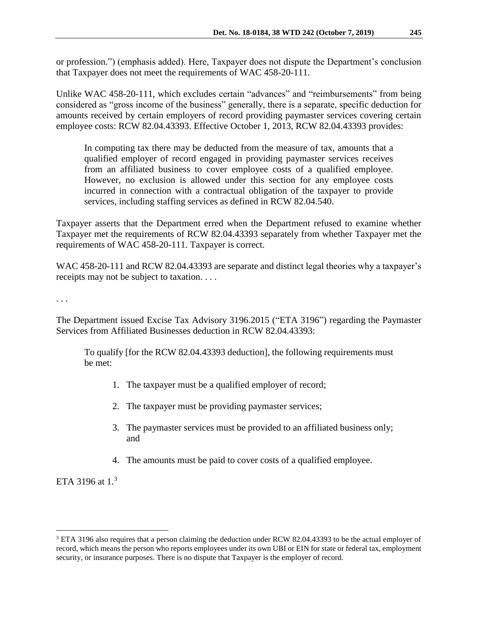or profession.") (emphasis added). Here, Taxpayer does not dispute the Department's conclusion that Taxpayer does not meet the requirements of WAC 458-20-111.

Unlike WAC 458-20-111, which excludes certain "advances" and "reimbursements" from being considered as "gross income of the business" generally, there is a separate, specific deduction for amounts received by certain employers of record providing paymaster services covering certain employee costs: RCW 82.04.43393. Effective October 1, 2013, RCW 82.04.43393 provides:

In computing tax there may be deducted from the measure of tax, amounts that a qualified employer of record engaged in providing paymaster services receives from an affiliated business to cover employee costs of a qualified employee. However, no exclusion is allowed under this section for any employee costs incurred in connection with a contractual obligation of the taxpayer to provide services, including staffing services as defined in RCW 82.04.540.

Taxpayer asserts that the Department erred when the Department refused to examine whether Taxpayer met the requirements of RCW 82.04.43393 separately from whether Taxpayer met the requirements of WAC 458-20-111. Taxpayer is correct.

WAC 458-20-111 and RCW 82.04.43393 are separate and distinct legal theories why a taxpayer's receipts may not be subject to taxation. . . .

. . .

The Department issued Excise Tax Advisory 3196.2015 ("ETA 3196") regarding the Paymaster Services from Affiliated Businesses deduction in RCW 82.04.43393:

To qualify [for the RCW 82.04.43393 deduction], the following requirements must be met:

- 1. The taxpayer must be a qualified employer of record;
- 2. The taxpayer must be providing paymaster services;
- 3. The paymaster services must be provided to an affiliated business only; and
- 4. The amounts must be paid to cover costs of a qualified employee.

ETA 3196 at  $1.^3$ 

<sup>3</sup> ETA 3196 also requires that a person claiming the deduction under RCW 82.04.43393 to be the actual employer of record, which means the person who reports employees under its own UBI or EIN for state or federal tax, employment security, or insurance purposes. There is no dispute that Taxpayer is the employer of record.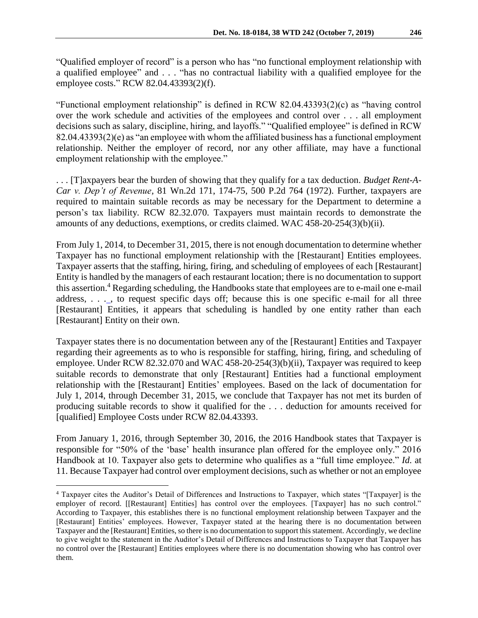"Qualified employer of record" is a person who has "no functional employment relationship with a qualified employee" and . . . "has no contractual liability with a qualified employee for the employee costs." RCW 82.04.43393(2)(f).

"Functional employment relationship" is defined in RCW 82.04.43393(2)(c) as "having control over the work schedule and activities of the employees and control over . . . all employment decisions such as salary, discipline, hiring, and layoffs." "Qualified employee" is defined in RCW 82.04.43393(2)(e) as "an employee with whom the affiliated business has a functional employment relationship. Neither the employer of record, nor any other affiliate, may have a functional employment relationship with the employee."

. . . [T]axpayers bear the burden of showing that they qualify for a tax deduction. *Budget Rent-A-Car v. Dep't of Revenue,* 81 Wn.2d 171, 174-75, 500 P.2d 764 (1972). Further, taxpayers are required to maintain suitable records as may be necessary for the Department to determine a person's tax liability. RCW 82.32.070. Taxpayers must maintain records to demonstrate the amounts of any deductions, exemptions, or credits claimed. WAC 458-20-254(3)(b)(ii).

From July 1, 2014, to December 31, 2015, there is not enough documentation to determine whether Taxpayer has no functional employment relationship with the [Restaurant] Entities employees. Taxpayer asserts that the staffing, hiring, firing, and scheduling of employees of each [Restaurant] Entity is handled by the managers of each restaurant location; there is no documentation to support this assertion.<sup>4</sup> Regarding scheduling, the Handbooks state that employees are to e-mail one e-mail address, . . . , to request specific days off; because this is one specific e-mail for all three [Restaurant] Entities, it appears that scheduling is handled by one entity rather than each [Restaurant] Entity on their own.

Taxpayer states there is no documentation between any of the [Restaurant] Entities and Taxpayer regarding their agreements as to who is responsible for staffing, hiring, firing, and scheduling of employee. Under RCW 82.32.070 and WAC 458-20-254(3)(b)(ii), Taxpayer was required to keep suitable records to demonstrate that only [Restaurant] Entities had a functional employment relationship with the [Restaurant] Entities' employees. Based on the lack of documentation for July 1, 2014, through December 31, 2015, we conclude that Taxpayer has not met its burden of producing suitable records to show it qualified for the . . . deduction for amounts received for [qualified] Employee Costs under RCW 82.04.43393.

From January 1, 2016, through September 30, 2016, the 2016 Handbook states that Taxpayer is responsible for "50% of the 'base' health insurance plan offered for the employee only." 2016 Handbook at 10. Taxpayer also gets to determine who qualifies as a "full time employee." *Id.* at 11. Because Taxpayer had control over employment decisions, such as whether or not an employee

<sup>4</sup> Taxpayer cites the Auditor's Detail of Differences and Instructions to Taxpayer, which states "[Taxpayer] is the employer of record. [[Restaurant] Entities] has control over the employees. [Taxpayer] has no such control." According to Taxpayer, this establishes there is no functional employment relationship between Taxpayer and the [Restaurant] Entities' employees. However, Taxpayer stated at the hearing there is no documentation between Taxpayer and the [Restaurant] Entities, so there is no documentation to support this statement. Accordingly, we decline to give weight to the statement in the Auditor's Detail of Differences and Instructions to Taxpayer that Taxpayer has no control over the [Restaurant] Entities employees where there is no documentation showing who has control over them.